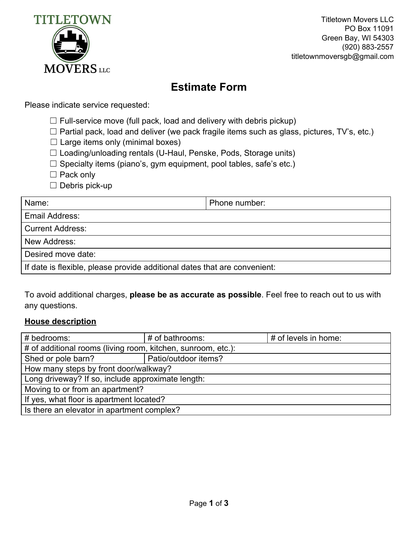

Titletown Movers LLC PO Box 11091 Green Bay, WI 54303 (920) 883-2557 titletownmoversgb@gmail.com

## **Estimate Form**

Please indicate service requested:

- $\Box$  Full-service move (full pack, load and delivery with debris pickup)
- $\Box$  Partial pack, load and deliver (we pack fragile items such as glass, pictures, TV's, etc.)
- $\Box$  Large items only (minimal boxes)
- ☐ Loading/unloading rentals (U-Haul, Penske, Pods, Storage units)
- $\Box$  Specialty items (piano's, gym equipment, pool tables, safe's etc.)
- □ Pack only
- ☐ Debris pick-up

| Name:                                                                     | Phone number: |  |
|---------------------------------------------------------------------------|---------------|--|
| Email Address:                                                            |               |  |
| <b>Current Address:</b>                                                   |               |  |
| New Address:                                                              |               |  |
| Desired move date:                                                        |               |  |
| If date is flexible, please provide additional dates that are convenient: |               |  |

To avoid additional charges, **please be as accurate as possible**. Feel free to reach out to us with any questions.

## **House description**

| # bedrooms:                                                  | # of bathrooms:      | # of levels in home: |  |  |
|--------------------------------------------------------------|----------------------|----------------------|--|--|
| # of additional rooms (living room, kitchen, sunroom, etc.): |                      |                      |  |  |
| Shed or pole barn?                                           | Patio/outdoor items? |                      |  |  |
| How many steps by front door/walkway?                        |                      |                      |  |  |
| Long driveway? If so, include approximate length:            |                      |                      |  |  |
| Moving to or from an apartment?                              |                      |                      |  |  |
| If yes, what floor is apartment located?                     |                      |                      |  |  |
| Is there an elevator in apartment complex?                   |                      |                      |  |  |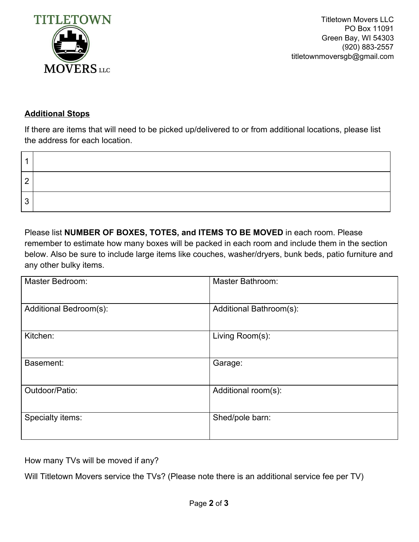

Titletown Movers LLC PO Box 11091 Green Bay, WI 54303 (920) 883-2557 titletownmoversgb@gmail.com

## **Additional Stops**

If there are items that will need to be picked up/delivered to or from additional locations, please list the address for each location.

| n |  |
|---|--|
| ົ |  |

Please list **NUMBER OF BOXES, TOTES, and ITEMS TO BE MOVED** in each room. Please remember to estimate how many boxes will be packed in each room and include them in the section below. Also be sure to include large items like couches, washer/dryers, bunk beds, patio furniture and any other bulky items.

| Master Bedroom:        | Master Bathroom:        |
|------------------------|-------------------------|
| Additional Bedroom(s): | Additional Bathroom(s): |
| Kitchen:               | Living Room(s):         |
| Basement:              | Garage:                 |
| Outdoor/Patio:         | Additional room(s):     |
| Specialty items:       | Shed/pole barn:         |

How many TVs will be moved if any?

Will Titletown Movers service the TVs? (Please note there is an additional service fee per TV)